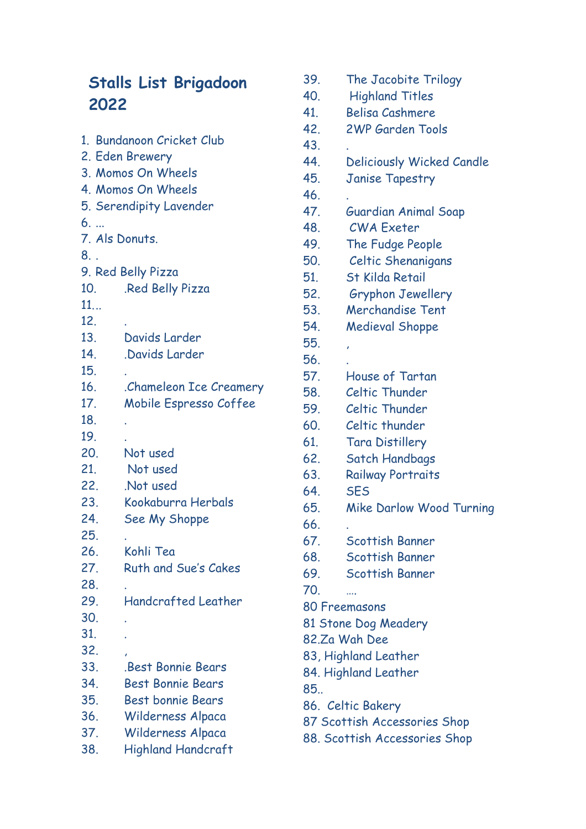## **Stalls List Brigadoon 2022**

|                         | 1. Bundanoon Cricket Club   |  |
|-------------------------|-----------------------------|--|
| 2. Eden Brewery         |                             |  |
| 3. Momos On Wheels      |                             |  |
|                         | 4. Momos On Wheels          |  |
| 5. Serendipity Lavender |                             |  |
| 6.                      |                             |  |
| 7. Als Donuts.          |                             |  |
| 8.                      |                             |  |
|                         | 9. Red Belly Pizza          |  |
| 10.                     | Red Belly Pizza             |  |
| 11                      |                             |  |
| 12.                     |                             |  |
| 13.                     | Davids Larder               |  |
| 14.                     | Davids Larder               |  |
| 15.                     |                             |  |
| 16.                     | Chameleon Ice Creamery      |  |
| 17 <sub>1</sub>         | Mobile Espresso Coffee      |  |
| 18.                     |                             |  |
| 19.                     |                             |  |
| 20.                     | Not used                    |  |
| 21.                     | Not used                    |  |
| 22.                     | Not used                    |  |
| 23.                     | Kookaburra Herbals          |  |
| 24.                     | See My Shoppe               |  |
| 25.                     |                             |  |
| 26.                     | Kohli Tea                   |  |
| 27.                     | <b>Ruth and Sue's Cakes</b> |  |
| 28.                     |                             |  |
| 29.                     | <b>Handcrafted Leather</b>  |  |
| 30.                     |                             |  |
| 31.                     |                             |  |
| 32.                     |                             |  |
| 33.                     | <b>.Best Bonnie Bears</b>   |  |
| 34.                     | <b>Best Bonnie Bears</b>    |  |
| 35.                     | <b>Best bonnie Bears</b>    |  |
| 36.                     | Wilderness Alpaca           |  |
| 37.                     | Wilderness Alpaca           |  |
| 38.                     | <b>Highland Handcraft</b>   |  |

| 39.                          | The Jacobite Trilogy        |  |
|------------------------------|-----------------------------|--|
| 40.                          | <b>Highland Titles</b>      |  |
| 41.                          | <b>Belisa Cashmere</b>      |  |
| 42.                          | <b>2WP Garden Tools</b>     |  |
| 43.                          |                             |  |
| 44.                          | Deliciously Wicked Candle   |  |
| 45.                          | <b>Janise Tapestry</b>      |  |
| 46.                          |                             |  |
| 47.                          | <b>Guardian Animal Soap</b> |  |
| 48.                          | <b>CWA Exeter</b>           |  |
| 49.                          | The Fudge People            |  |
| 50.                          | Celtic Shenanigans          |  |
| 51.                          | <b>St Kilda Retail</b>      |  |
| 52.                          | <b>Gryphon Jewellery</b>    |  |
| 53.                          | <b>Merchandise Tent</b>     |  |
| 54.                          | <b>Medieval Shoppe</b>      |  |
| 55.                          | ï                           |  |
| 56.                          |                             |  |
| 57.                          | House of Tartan             |  |
| 58.                          | <b>Celtic Thunder</b>       |  |
| 59.                          | Celtic Thunder              |  |
| 60.                          | Celtic thunder              |  |
| 61.                          | <b>Tara Distillery</b>      |  |
| 62.                          | Satch Handbags              |  |
| 63.                          | <b>Railway Portraits</b>    |  |
| 64.                          | <b>SES</b>                  |  |
| 65.                          | Mike Darlow Wood Turning    |  |
| 66.                          |                             |  |
| 67.                          | Scottish Banner             |  |
|                              | 68. Scottish Banner         |  |
| 69.                          | Scottish Banner             |  |
| 70.                          |                             |  |
|                              | 80 Freemasons               |  |
| 81 Stone Dog Meadery         |                             |  |
| 82.Za Wah Dee                |                             |  |
| 83, Highland Leather         |                             |  |
| 84. Highland Leather         |                             |  |
| 85                           |                             |  |
| 86. Celtic Bakery            |                             |  |
| 87 Scottish Accessories Shop |                             |  |

88. Scottish Accessories Shop